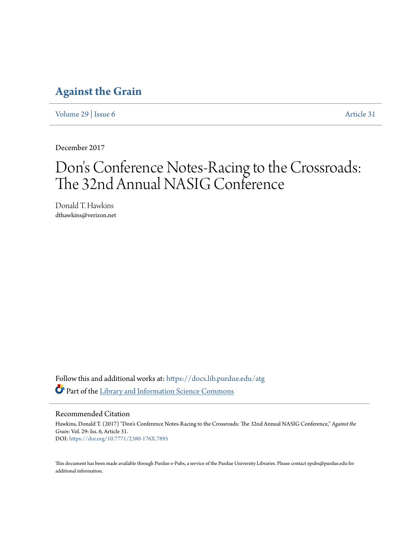## **[Against the Grain](https://docs.lib.purdue.edu/atg?utm_source=docs.lib.purdue.edu%2Fatg%2Fvol29%2Fiss6%2F31&utm_medium=PDF&utm_campaign=PDFCoverPages)**

[Volume 29](https://docs.lib.purdue.edu/atg/vol29?utm_source=docs.lib.purdue.edu%2Fatg%2Fvol29%2Fiss6%2F31&utm_medium=PDF&utm_campaign=PDFCoverPages) | [Issue 6](https://docs.lib.purdue.edu/atg/vol29/iss6?utm_source=docs.lib.purdue.edu%2Fatg%2Fvol29%2Fiss6%2F31&utm_medium=PDF&utm_campaign=PDFCoverPages) [Article 31](https://docs.lib.purdue.edu/atg/vol29/iss6/31?utm_source=docs.lib.purdue.edu%2Fatg%2Fvol29%2Fiss6%2F31&utm_medium=PDF&utm_campaign=PDFCoverPages)

December 2017

# Don 's Conference Notes-Racing to the Crossroads: The 32nd Annual NASIG Conference

Donald T. Hawkins dthawkins@verizon.net

Follow this and additional works at: [https://docs.lib.purdue.edu/atg](https://docs.lib.purdue.edu/atg?utm_source=docs.lib.purdue.edu%2Fatg%2Fvol29%2Fiss6%2F31&utm_medium=PDF&utm_campaign=PDFCoverPages) Part of the [Library and Information Science Commons](http://network.bepress.com/hgg/discipline/1018?utm_source=docs.lib.purdue.edu%2Fatg%2Fvol29%2Fiss6%2F31&utm_medium=PDF&utm_campaign=PDFCoverPages)

Recommended Citation

Hawkins, Donald T. (2017) "Don's Conference Notes-Racing to the Crossroads: The 32nd Annual NASIG Conference," *Against the Grain*: Vol. 29: Iss. 6, Article 31. DOI: <https://doi.org/10.7771/2380-176X.7895>

This document has been made available through Purdue e-Pubs, a service of the Purdue University Libraries. Please contact epubs@purdue.edu for additional information.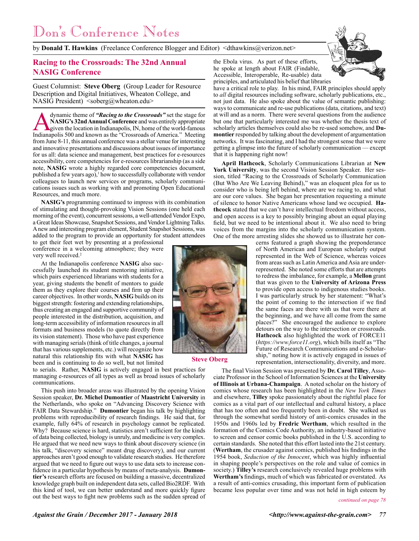by **Donald T. Hawkins** (Freelance Conference Blogger and Editor) <dthawkins@verizon.net>

### **Racing to the Crossroads: The 32nd Annual NASIG Conference**

Guest Columnist: **Steve Oberg** (Group Leader for Resource Description and Digital Initiatives, Wheaton College, and NASIG President) <soberg@wheaton.edu>

dynamic theme of *"Racing to the Crossroads"* set the stage for NASIG's 32nd Annual Conference and was entirely appropriate given the location in Indianapolis, IN, home of the world-famous Indianapolis 500 and known as the **NASIG's 32nd Annual Conference** and was entirely appropriate given the location in Indianapolis, IN, home of the world-famous from June 8-11, this annual conference was a stellar venue for interesting and innovative presentations and discussions about issues of importance for us all: data science and management, best practices for e-resources accessibility, core competencies for e-resources librarianship (as a side note, **NASIG** wrote a highly regarded core competencies document, published a few years ago),<sup>1</sup> how to successfully collaborate with vendor colleagues to launch new services or programs, scholarly communications issues such as working with and promoting Open Educational Resources, and much more.

**NASIG's** programming continued to impress with its combination of stimulating and thought-provoking Vision Sessions (one held each morning of the event), concurrent sessions, a well-attended Vendor Expo, a Great Ideas Showcase, Snapshot Sessions, and Vendor Lightning Talks. A new and interesting program element, Student Snapshot Sessions, was added to the program to provide an opportunity for student attendees

to get their feet wet by presenting at a professional conference in a welcoming atmosphere; they were very well received.<sup>2</sup>

At the Indianapolis conference **NASIG** also successfully launched its student mentoring initiative, which pairs experienced librarians with students for a year, giving students the benefit of mentors to guide them as they explore their courses and firm up their career objectives. In other words, **NASIG** builds on its biggest strength: fostering and extending relationships, thus creating an engaged and supportive community of people interested in the distribution, acquisition, and long-term accessibility of information resources in all formats and business models (to quote directly from its vision statement). Those who have past experience with managing serials (think of title changes, a journal that has various supplements, etc.) will recognize how natural this relationship fits with what **NASIG** has been and is continuing to do so well, but not limited

to serials. Rather, **NASIG** is actively engaged in best practices for managing e-resources of all types as well as broad issues of scholarly communications.

This push into broader areas was illustrated by the opening Vision Session speaker, **Dr. Michel Dumontier** of **Maastricht University** in the Netherlands, who spoke on "Advancing Discovery Science with FAIR Data Stewardship." **Dumontier** began his talk by highlighting problems with reproducibility of research findings. He said that, for example, fully 64% of research in psychology cannot be replicated. Why? Because science is hard, statistics aren't sufficient for the kinds of data being collected, biology is unruly, and medicine is very complex. He argued that we need new ways to think about discovery science (in his talk, "discovery science" meant drug discovery), and our current approaches aren't good enough to validate research studies. He therefore argued that we need to figure out ways to use data sets to increase confidence in a particular hypothesis by means of meta-analysis. **Dumontier's** research efforts are focused on building a massive, decentralized knowledge graph built on independent data sets, called Bio2RDF. With this kind of tool, we can better understand and more quickly figure out the best ways to fight new problems such as the sudden spread of



**Steve Oberg**



the Ebola virus. As part of these efforts, he spoke at length about FAIR (Findable, Accessible, Interoperable, Re-usable) data principles, and articulated his belief that libraries

have a critical role to play. In his mind, FAIR principles should apply to *all* digital resources including software, scholarly publications, etc., not just data. He also spoke about the value of semantic publishing: ways to communicate and re-use publications (data, citations, and text) at will and as a norm. There were several questions from the audience but one that particularly interested me was whether the thesis text of scholarly articles themselves could also be re-used somehow, and **Dumontier** responded by talking about the development of argumentation networks. It was fascinating, and I had the strongest sense that we were getting a glimpse into the future of scholarly communication — except that it is happening right now!

**April Hathcock**, Scholarly Communications Librarian at **New York University**, was the second Vision Session Speaker. Her session, titled "Racing to the Crossroads of Scholarly Communication (But Who Are We Leaving Behind)," was an eloquent plea for us to consider who is being left behind, where are we racing to, and what are our core values. She began her presentation requesting a minute of silence to honor Native Americans whose land we occupied. **Hathcock** stated that we can't have intellectual freedom without access, and open access is a key to possibly bringing about an equal playing field, but we need to be intentional about it. We also need to bring voices from the margins into the scholarly communication system. One of the more arresting slides she showed us to illustrate her con-

> cerns featured a graph showing the preponderance of North American and European scholarly output represented in the Web of Science, whereas voices from areas such as Latin America and Asia are underrepresented. She noted some efforts that are attempts to redress the imbalance, for example, a **Mellon** grant that was given to the **University of Arizona Press** to provide open access to indigenous studies books. I was particularly struck by her statement: "What's the point of coming to the intersection if we find the same faces are there with us that were there at the beginning, and we have all come from the same places?" She encouraged the audience to explore detours on the way to the intersection or crossroads. **Hathcock** also highlighted the work of FORCE11 (*https://www.force11.org*), which bills itself as "The Future of Research Communications and e-Scholarship," noting how it is actively engaged in issues of representation, intersectionality, diversity, and more.

The final Vision Session was presented by **Dr. Carol Tilley**, Associate Professor in the School of Information Sciences at the **University of Illinois at Urbana-Champaign**. A noted scholar on the history of comics whose research has been highlighted in the *New York Times* and elsewhere, **Tilley** spoke passionately about the rightful place for comics as a vital part of our intellectual and cultural history, a place that has too often and too frequently been in doubt. She walked us through the somewhat sordid history of anti-comics crusades in the 1950s and 1960s led by **Fredric Wertham**, which resulted in the formation of the Comics Code Authority, an industry-based initiative to screen and censor comic books published in the U.S. according to certain standards. She noted that this effort lasted into the 21st century. (**Wertham**, the crusader against comics, published his findings in the 1954 book, *Seduction of the Innocent*, which was highly influential in shaping people's perspectives on the role and value of comics in society.) **Tilley's** research conclusively revealed huge problems with **Wertham's** findings, much of which was fabricated or overstated. As a result of anti-comics crusading, this important form of publication became less popular over time and was not held in high esteem by

#### *continued on page 78*